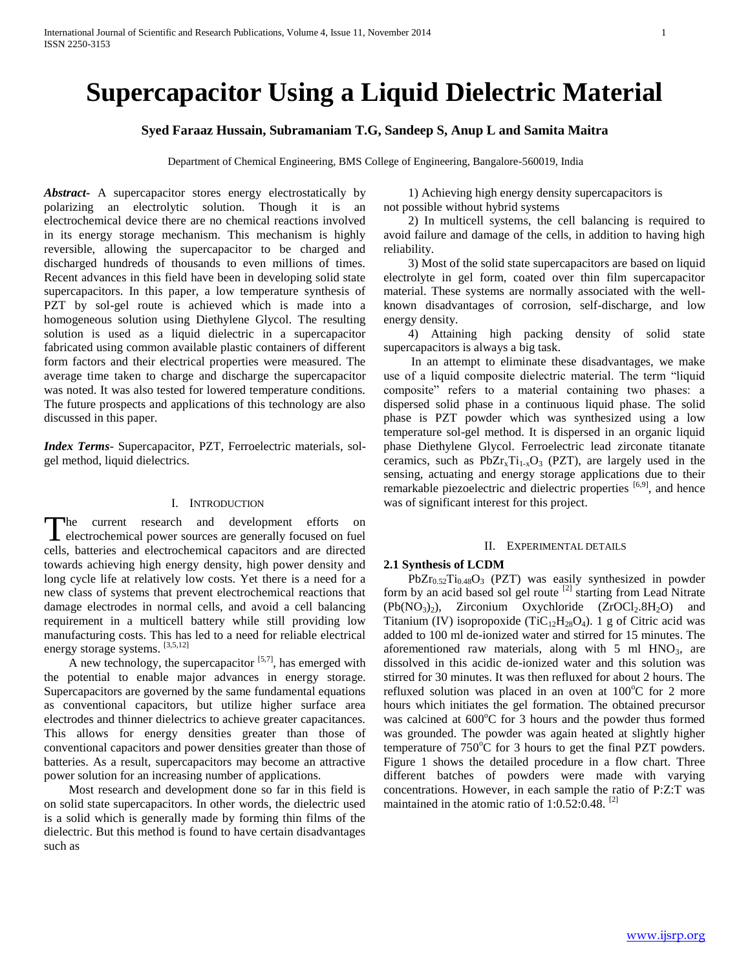# **Supercapacitor Using a Liquid Dielectric Material**

# **Syed Faraaz Hussain, Subramaniam T.G, Sandeep S, Anup L and Samita Maitra**

Department of Chemical Engineering, BMS College of Engineering, Bangalore-560019, India

*Abstract***-** A supercapacitor stores energy electrostatically by polarizing an electrolytic solution. Though it is an electrochemical device there are no chemical reactions involved in its energy storage mechanism. This mechanism is highly reversible, allowing the supercapacitor to be charged and discharged hundreds of thousands to even millions of times. Recent advances in this field have been in developing solid state supercapacitors. In this paper, a low temperature synthesis of PZT by sol-gel route is achieved which is made into a homogeneous solution using Diethylene Glycol. The resulting solution is used as a liquid dielectric in a supercapacitor fabricated using common available plastic containers of different form factors and their electrical properties were measured. The average time taken to charge and discharge the supercapacitor was noted. It was also tested for lowered temperature conditions. The future prospects and applications of this technology are also discussed in this paper.

*Index Terms*- Supercapacitor, PZT, Ferroelectric materials, solgel method, liquid dielectrics.

# I. INTRODUCTION

The current research and development efforts on The current research and development efforts on electrochemical power sources are generally focused on fuel cells, batteries and electrochemical capacitors and are directed towards achieving high energy density, high power density and long cycle life at relatively low costs. Yet there is a need for a new class of systems that prevent electrochemical reactions that damage electrodes in normal cells, and avoid a cell balancing requirement in a multicell battery while still providing low manufacturing costs. This has led to a need for reliable electrical energy storage systems. [3,5,12]

A new technology, the supercapacitor  $[5,7]$ , has emerged with the potential to enable major advances in energy storage. Supercapacitors are governed by the same fundamental equations as conventional capacitors, but utilize higher surface area electrodes and thinner dielectrics to achieve greater capacitances. This allows for energy densities greater than those of conventional capacitors and power densities greater than those of batteries. As a result, supercapacitors may become an attractive power solution for an increasing number of applications.

 Most research and development done so far in this field is on solid state supercapacitors. In other words, the dielectric used is a solid which is generally made by forming thin films of the dielectric. But this method is found to have certain disadvantages such as

 1) Achieving high energy density supercapacitors is not possible without hybrid systems

 2) In multicell systems, the cell balancing is required to avoid failure and damage of the cells, in addition to having high reliability.

 3) Most of the solid state supercapacitors are based on liquid electrolyte in gel form, coated over thin film supercapacitor material. These systems are normally associated with the wellknown disadvantages of corrosion, self-discharge, and low energy density.

 4) Attaining high packing density of solid state supercapacitors is always a big task.

 In an attempt to eliminate these disadvantages, we make use of a liquid composite dielectric material. The term "liquid composite" refers to a material containing two phases: a dispersed solid phase in a continuous liquid phase. The solid phase is PZT powder which was synthesized using a low temperature sol-gel method. It is dispersed in an organic liquid phase Diethylene Glycol. Ferroelectric lead zirconate titanate ceramics, such as  $PbZr<sub>x</sub>Ti<sub>1-x</sub>O<sub>3</sub>$  (PZT), are largely used in the sensing, actuating and energy storage applications due to their remarkable piezoelectric and dielectric properties  $[6,9]$ , and hence was of significant interest for this project.

## II. EXPERIMENTAL DETAILS

## **2.1 Synthesis of LCDM**

 $PbZr_{0.52}Ti_{0.48}O_3$  (PZT) was easily synthesized in powder form by an acid based sol gel route  $[2]$  starting from Lead Nitrate  $(Pb(NO<sub>3</sub>)<sub>2</sub>)$ , Zirconium Oxychloride  $(ZrOCl<sub>2</sub>.8H<sub>2</sub>O)$  and Titanium (IV) isopropoxide (TiC<sub>12</sub>H<sub>28</sub>O<sub>4</sub>). 1 g of Citric acid was added to 100 ml de-ionized water and stirred for 15 minutes. The aforementioned raw materials, along with  $5 \text{ ml HNO}_3$ , are dissolved in this acidic de-ionized water and this solution was stirred for 30 minutes. It was then refluxed for about 2 hours. The refluxed solution was placed in an oven at  $100^{\circ}$ C for 2 more hours which initiates the gel formation. The obtained precursor was calcined at  $600^{\circ}$ C for 3 hours and the powder thus formed was grounded. The powder was again heated at slightly higher temperature of  $750^{\circ}$ C for 3 hours to get the final PZT powders. Figure 1 shows the detailed procedure in a flow chart. Three different batches of powders were made with varying concentrations. However, in each sample the ratio of P:Z:T was maintained in the atomic ratio of  $1:0.52:0.48$ . <sup>[2]</sup>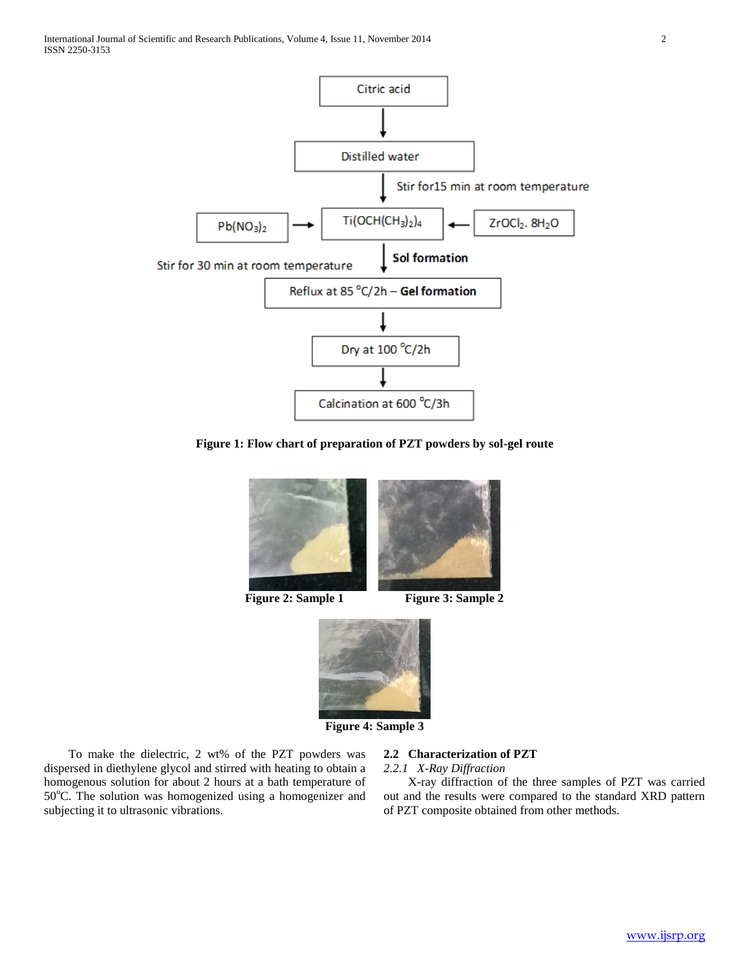

**Figure 1: Flow chart of preparation of PZT powders by sol-gel route**



**Figure 2: Sample 1** Figure 3: Sample 2



**Figure 4: Sample 3**

 To make the dielectric, 2 wt% of the PZT powders was dispersed in diethylene glycol and stirred with heating to obtain a homogenous solution for about 2 hours at a bath temperature of 50°C. The solution was homogenized using a homogenizer and subjecting it to ultrasonic vibrations.

# **2.2 Characterization of PZT**

*2.2.1 X-Ray Diffraction*

 X-ray diffraction of the three samples of PZT was carried out and the results were compared to the standard XRD pattern of PZT composite obtained from other methods.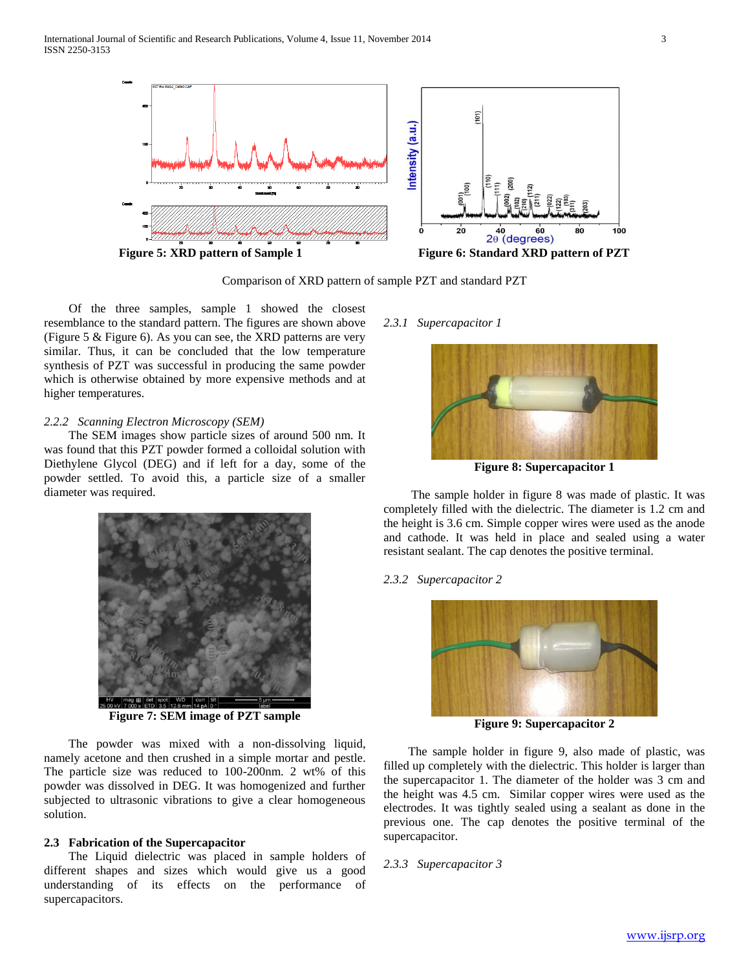

Comparison of XRD pattern of sample PZT and standard PZT

 Of the three samples, sample 1 showed the closest resemblance to the standard pattern. The figures are shown above (Figure 5 & Figure 6). As you can see, the XRD patterns are very similar. Thus, it can be concluded that the low temperature synthesis of PZT was successful in producing the same powder which is otherwise obtained by more expensive methods and at higher temperatures.

## *2.2.2 Scanning Electron Microscopy (SEM)*

 The SEM images show particle sizes of around 500 nm. It was found that this PZT powder formed a colloidal solution with Diethylene Glycol (DEG) and if left for a day, some of the powder settled. To avoid this, a particle size of a smaller diameter was required.



**Figure 7: SEM image of PZT sample**

 The powder was mixed with a non-dissolving liquid, namely acetone and then crushed in a simple mortar and pestle. The particle size was reduced to 100-200nm. 2 wt% of this powder was dissolved in DEG. It was homogenized and further subjected to ultrasonic vibrations to give a clear homogeneous solution.

## **2.3 Fabrication of the Supercapacitor**

 The Liquid dielectric was placed in sample holders of different shapes and sizes which would give us a good understanding of its effects on the performance of supercapacitors.

## *2.3.1 Supercapacitor 1*



**Figure 8: Supercapacitor 1**

 The sample holder in figure 8 was made of plastic. It was completely filled with the dielectric. The diameter is 1.2 cm and the height is 3.6 cm. Simple copper wires were used as the anode and cathode. It was held in place and sealed using a water resistant sealant. The cap denotes the positive terminal.

## *2.3.2 Supercapacitor 2*



**Figure 9: Supercapacitor 2**

 The sample holder in figure 9, also made of plastic, was filled up completely with the dielectric. This holder is larger than the supercapacitor 1. The diameter of the holder was 3 cm and the height was 4.5 cm. Similar copper wires were used as the electrodes. It was tightly sealed using a sealant as done in the previous one. The cap denotes the positive terminal of the supercapacitor.

## *2.3.3 Supercapacitor 3*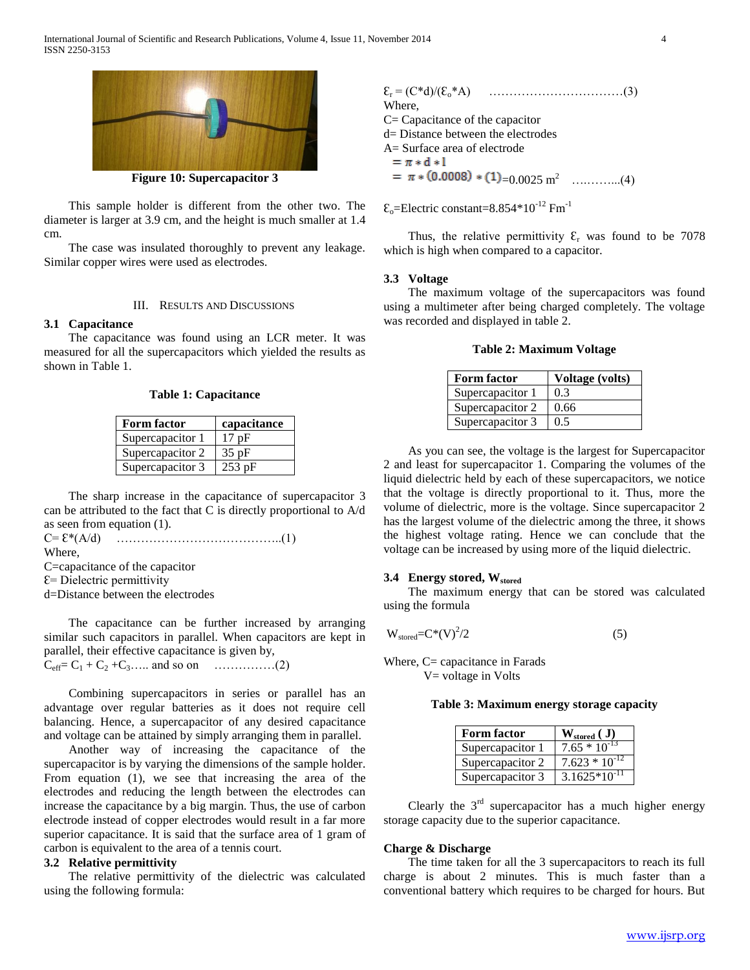

**Figure 10: Supercapacitor 3**

 This sample holder is different from the other two. The diameter is larger at 3.9 cm, and the height is much smaller at 1.4 cm.

 The case was insulated thoroughly to prevent any leakage. Similar copper wires were used as electrodes.

## III. RESULTS AND DISCUSSIONS

# **3.1 Capacitance**

 The capacitance was found using an LCR meter. It was measured for all the supercapacitors which yielded the results as shown in Table 1.

**Table 1: Capacitance**

| <b>Form factor</b> | capacitance |
|--------------------|-------------|
| Supercapacitor 1   | 17pF        |
| Supercapacitor 2   | $35$ pF     |
| Supercapacitor 3   | $253$ pF    |

 The sharp increase in the capacitance of supercapacitor 3 can be attributed to the fact that C is directly proportional to A/d as seen from equation (1).

```
C= Ɛ*(A/d) …………………………………..(1)
```
Where,

C=capacitance of the capacitor

 $E=$  Dielectric permittivity

d=Distance between the electrodes

 The capacitance can be further increased by arranging similar such capacitors in parallel. When capacitors are kept in parallel, their effective capacitance is given by, Ceff= C<sup>1</sup> + C<sup>2</sup> +C3….. and so on ……………(2)

 Combining supercapacitors in series or parallel has an advantage over regular batteries as it does not require cell balancing. Hence, a supercapacitor of any desired capacitance and voltage can be attained by simply arranging them in parallel.

 Another way of increasing the capacitance of the supercapacitor is by varying the dimensions of the sample holder. From equation (1), we see that increasing the area of the electrodes and reducing the length between the electrodes can increase the capacitance by a big margin. Thus, the use of carbon electrode instead of copper electrodes would result in a far more superior capacitance. It is said that the surface area of 1 gram of carbon is equivalent to the area of a tennis court.

# **3.2 Relative permittivity**

 The relative permittivity of the dielectric was calculated using the following formula:

Ɛ<sup>r</sup> = (C\*d)/(Ɛo\*A) ……………………………(3) Where, C= Capacitance of the capacitor d= Distance between the electrodes A= Surface area of electrode  $= \pi * d * l$ =0.0025 m<sup>2</sup> ….……...(4)

 $\epsilon_0$ =Electric constant=8.854\*10<sup>-12</sup> Fm<sup>-1</sup>

Thus, the relative permittivity  $\mathcal{E}_r$  was found to be 7078 which is high when compared to a capacitor.

## **3.3 Voltage**

 The maximum voltage of the supercapacitors was found using a multimeter after being charged completely. The voltage was recorded and displayed in table 2.

## **Table 2: Maximum Voltage**

| <b>Form factor</b> | <b>Voltage (volts)</b> |
|--------------------|------------------------|
| Supercapacitor 1   | 0.3                    |
| Supercapacitor 2   | 0.66                   |
| Supercapacitor 3   | 0.5                    |

 As you can see, the voltage is the largest for Supercapacitor 2 and least for supercapacitor 1. Comparing the volumes of the liquid dielectric held by each of these supercapacitors, we notice that the voltage is directly proportional to it. Thus, more the volume of dielectric, more is the voltage. Since supercapacitor 2 has the largest volume of the dielectric among the three, it shows the highest voltage rating. Hence we can conclude that the voltage can be increased by using more of the liquid dielectric.

## **3.4 Energy stored, Wstored**

 The maximum energy that can be stored was calculated using the formula

$$
W_{\text{stored}} = C^*(V)^2/2 \tag{5}
$$

Where, C= capacitance in Farads

V= voltage in Volts

#### **Table 3: Maximum energy storage capacity**

| <b>Form factor</b> | $W_{\text{stored}}(J)$ |
|--------------------|------------------------|
| Supercapacitor 1   | $7.65 * 10^{-13}$      |
| Supercapacitor 2   | $7.623 * 10^{-12}$     |
| Supercapacitor 3   | $3.1625*10^{-11}$      |

Clearly the  $3<sup>rd</sup>$  supercapacitor has a much higher energy storage capacity due to the superior capacitance.

#### **Charge & Discharge**

 The time taken for all the 3 supercapacitors to reach its full charge is about 2 minutes. This is much faster than a conventional battery which requires to be charged for hours. But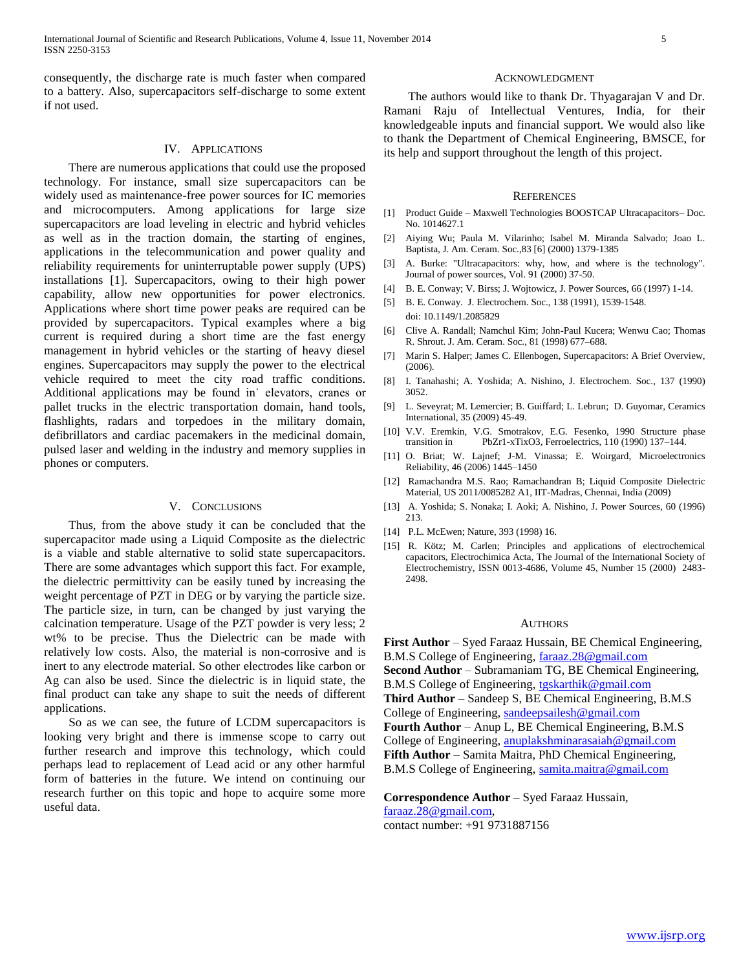consequently, the discharge rate is much faster when compared to a battery. Also, supercapacitors self-discharge to some extent if not used.

# IV. APPLICATIONS

 There are numerous applications that could use the proposed technology. For instance, small size supercapacitors can be widely used as maintenance-free power sources for IC memories and microcomputers. Among applications for large size supercapacitors are load leveling in electric and hybrid vehicles as well as in the traction domain, the starting of engines, applications in the telecommunication and power quality and reliability requirements for uninterruptable power supply (UPS) installations [1]. Supercapacitors, owing to their high power capability, allow new opportunities for power electronics. Applications where short time power peaks are required can be provided by supercapacitors. Typical examples where a big current is required during a short time are the fast energy management in hybrid vehicles or the starting of heavy diesel engines. Supercapacitors may supply the power to the electrical vehicle required to meet the city road traffic conditions. Additional applications may be found in˙ elevators, cranes or pallet trucks in the electric transportation domain, hand tools, flashlights, radars and torpedoes in the military domain, defibrillators and cardiac pacemakers in the medicinal domain, pulsed laser and welding in the industry and memory supplies in phones or computers.

#### V. CONCLUSIONS

 Thus, from the above study it can be concluded that the supercapacitor made using a Liquid Composite as the dielectric is a viable and stable alternative to solid state supercapacitors. There are some advantages which support this fact. For example, the dielectric permittivity can be easily tuned by increasing the weight percentage of PZT in DEG or by varying the particle size. The particle size, in turn, can be changed by just varying the calcination temperature. Usage of the PZT powder is very less; 2 wt% to be precise. Thus the Dielectric can be made with relatively low costs. Also, the material is non-corrosive and is inert to any electrode material. So other electrodes like carbon or Ag can also be used. Since the dielectric is in liquid state, the final product can take any shape to suit the needs of different applications.

 So as we can see, the future of LCDM supercapacitors is looking very bright and there is immense scope to carry out further research and improve this technology, which could perhaps lead to replacement of Lead acid or any other harmful form of batteries in the future. We intend on continuing our research further on this topic and hope to acquire some more useful data.

#### ACKNOWLEDGMENT

 The authors would like to thank Dr. Thyagarajan V and Dr. Ramani Raju of Intellectual Ventures, India, for their knowledgeable inputs and financial support. We would also like to thank the Department of Chemical Engineering, BMSCE, for its help and support throughout the length of this project.

#### **REFERENCES**

- [1] Product Guide Maxwell Technologies BOOSTCAP Ultracapacitors– Doc. No. 1014627.1
- [2] Aiying Wu; Paula M. Vilarinho; Isabel M. Miranda Salvado; Joao L. Baptista, J. Am. Ceram. Soc.,83 [6] (2000) 1379-1385
- [3] A. Burke: "Ultracapacitors: why, how, and where is the technology". Journal of power sources, Vol. 91 (2000) 37-50.
- [4] B. E. Conway; V. Birss; J. Wojtowicz, J. Power Sources, 66 (1997) 1-14.
- [5] B. E. Conway. J. Electrochem. Soc., 138 (1991), 1539-1548. doi: 10.1149/1.2085829
- [6] Clive A. Randall; Namchul Kim; John-Paul Kucera; Wenwu Cao; Thomas R. Shrout. J. Am. Ceram. Soc., 81 (1998) 677–688.
- [7] Marin S. Halper; James C. Ellenbogen, Supercapacitors: A Brief Overview, (2006).
- [8] I. Tanahashi; A. Yoshida; A. Nishino, J. Electrochem. Soc., 137 (1990) 3052.
- [9] L. Seveyrat; M. Lemercier; B. Guiffard; L. Lebrun; D. Guyomar, Ceramics International, 35 (2009) 45-49.
- [10] V.V. Eremkin, V.G. Smotrakov, E.G. Fesenko, 1990 Structure phase transition in PbZr1-xTixO3, Ferroelectrics, 110 (1990) 137–144.
- [11] O. Briat; W. Lajnef; J-M. Vinassa; E. Woirgard, Microelectronics Reliability, 46 (2006) 1445–1450
- [12] Ramachandra M.S. Rao; Ramachandran B; Liquid Composite Dielectric Material, US 2011/0085282 A1, IIT-Madras, Chennai, India (2009)
- [13] A. Yoshida; S. Nonaka; I. Aoki; A. Nishino, J. Power Sources, 60 (1996) 213.
- [14] P.L. McEwen; Nature, 393 (1998) 16.
- [15] R. Kötz; M. Carlen; Principles and applications of electrochemical capacitors, Electrochimica Acta, The Journal of the International Society of Electrochemistry, ISSN 0013-4686, Volume 45, Number 15 (2000) 2483- 2498.

### AUTHORS

**First Author** – Syed Faraaz Hussain, BE Chemical Engineering, B.M.S College of Engineering, [faraaz.28@gmail.com](mailto:faraaz.28@gmail.com) **Second Author** – Subramaniam TG, BE Chemical Engineering, B.M.S College of Engineering, [tgskarthik@gmail.com](mailto:tgskarthik@gmail.com) **Third Author** – Sandeep S, BE Chemical Engineering, B.M.S College of Engineering, [sandeepsailesh@gmail.com](mailto:sandeepsailesh@gmail.com) **Fourth Author** – Anup L, BE Chemical Engineering, B.M.S College of Engineering, [anuplakshminarasaiah@gmail.com](mailto:anuplakshminarasaiah@gmail.com) Fifth Author – Samita Maitra, PhD Chemical Engineering, B.M.S College of Engineering, [samita.maitra@gmail.com](mailto:samita.maitra@gmail.com)

**Correspondence Author** – Syed Faraaz Hussain, [faraaz.28@gmail.com,](mailto:faraaz.28@gmail.com) contact number: +91 9731887156